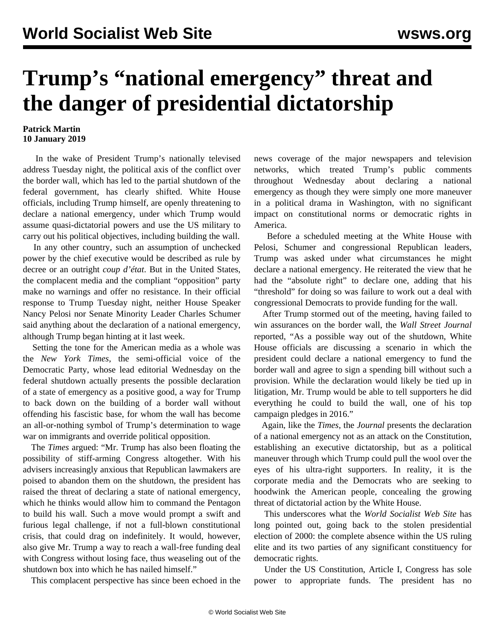## **Trump's "national emergency" threat and the danger of presidential dictatorship**

## **Patrick Martin 10 January 2019**

 In the wake of President Trump's nationally televised address Tuesday night, the political axis of the conflict over the border wall, which has led to the partial shutdown of the federal government, has clearly shifted. White House officials, including Trump himself, are openly threatening to declare a national emergency, under which Trump would assume quasi-dictatorial powers and use the US military to carry out his political objectives, including building the wall.

 In any other country, such an assumption of unchecked power by the chief executive would be described as rule by decree or an outright *coup d'état*. But in the United States, the complacent media and the compliant "opposition" party make no warnings and offer no resistance. In their official response to Trump Tuesday night, neither House Speaker Nancy Pelosi nor Senate Minority Leader Charles Schumer said anything about the declaration of a national emergency, although Trump began hinting at it last week.

 Setting the tone for the American media as a whole was the *New York Times*, the semi-official voice of the Democratic Party, whose lead editorial Wednesday on the federal shutdown actually presents the possible declaration of a state of emergency as a positive good, a way for Trump to back down on the building of a border wall without offending his fascistic base, for whom the wall has become an all-or-nothing symbol of Trump's determination to wage war on immigrants and override political opposition.

 The *Times* argued: "Mr. Trump has also been floating the possibility of stiff-arming Congress altogether. With his advisers increasingly anxious that Republican lawmakers are poised to abandon them on the shutdown, the president has raised the threat of declaring a state of national emergency, which he thinks would allow him to command the Pentagon to build his wall. Such a move would prompt a swift and furious legal challenge, if not a full-blown constitutional crisis, that could drag on indefinitely. It would, however, also give Mr. Trump a way to reach a wall-free funding deal with Congress without losing face, thus weaseling out of the shutdown box into which he has nailed himself."

This complacent perspective has since been echoed in the

news coverage of the major newspapers and television networks, which treated Trump's public comments throughout Wednesday about declaring a national emergency as though they were simply one more maneuver in a political drama in Washington, with no significant impact on constitutional norms or democratic rights in America.

 Before a scheduled meeting at the White House with Pelosi, Schumer and congressional Republican leaders, Trump was asked under what circumstances he might declare a national emergency. He reiterated the view that he had the "absolute right" to declare one, adding that his "threshold" for doing so was failure to work out a deal with congressional Democrats to provide funding for the wall.

 After Trump stormed out of the meeting, having failed to win assurances on the border wall, the *Wall Street Journal* reported, "As a possible way out of the shutdown, White House officials are discussing a scenario in which the president could declare a national emergency to fund the border wall and agree to sign a spending bill without such a provision. While the declaration would likely be tied up in litigation, Mr. Trump would be able to tell supporters he did everything he could to build the wall, one of his top campaign pledges in 2016."

 Again, like the *Times*, the *Journal* presents the declaration of a national emergency not as an attack on the Constitution, establishing an executive dictatorship, but as a political maneuver through which Trump could pull the wool over the eyes of his ultra-right supporters. In reality, it is the corporate media and the Democrats who are seeking to hoodwink the American people, concealing the growing threat of dictatorial action by the White House.

 This underscores what the *World Socialist Web Site* has long pointed out, going back to the stolen presidential election of 2000: the complete absence within the US ruling elite and its two parties of any significant constituency for democratic rights.

 Under the US Constitution, Article I, Congress has sole power to appropriate funds. The president has no